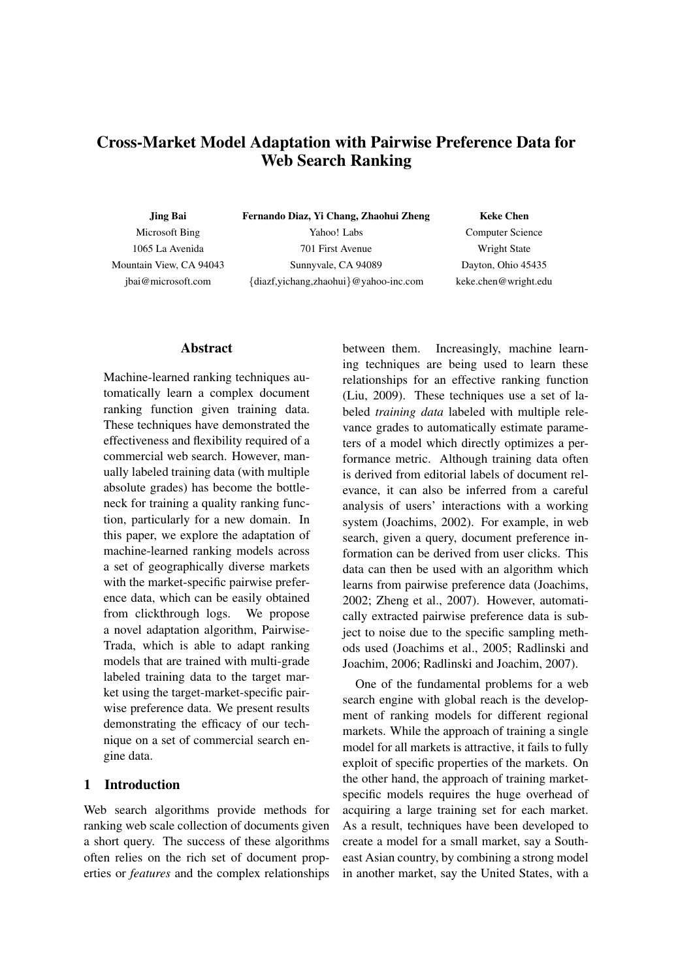# Cross-Market Model Adaptation with Pairwise Preference Data for Web Search Ranking

Jing Bai Microsoft Bing 1065 La Avenida Mountain View, CA 94043 jbai@microsoft.com

Fernando Diaz, Yi Chang, Zhaohui Zheng Yahoo! Labs 701 First Avenue Sunnyvale, CA 94089 {diazf,yichang,zhaohui}@yahoo-inc.com

Keke Chen

Computer Science Wright State Dayton, Ohio 45435 keke.chen@wright.edu

### Abstract

Machine-learned ranking techniques automatically learn a complex document ranking function given training data. These techniques have demonstrated the effectiveness and flexibility required of a commercial web search. However, manually labeled training data (with multiple absolute grades) has become the bottleneck for training a quality ranking function, particularly for a new domain. In this paper, we explore the adaptation of machine-learned ranking models across a set of geographically diverse markets with the market-specific pairwise preference data, which can be easily obtained from clickthrough logs. We propose a novel adaptation algorithm, Pairwise-Trada, which is able to adapt ranking models that are trained with multi-grade labeled training data to the target market using the target-market-specific pairwise preference data. We present results demonstrating the efficacy of our technique on a set of commercial search engine data.

# 1 Introduction

Web search algorithms provide methods for ranking web scale collection of documents given a short query. The success of these algorithms often relies on the rich set of document properties or *features* and the complex relationships between them. Increasingly, machine learning techniques are being used to learn these relationships for an effective ranking function (Liu, 2009). These techniques use a set of labeled *training data* labeled with multiple relevance grades to automatically estimate parameters of a model which directly optimizes a performance metric. Although training data often is derived from editorial labels of document relevance, it can also be inferred from a careful analysis of users' interactions with a working system (Joachims, 2002). For example, in web search, given a query, document preference information can be derived from user clicks. This data can then be used with an algorithm which learns from pairwise preference data (Joachims, 2002; Zheng et al., 2007). However, automatically extracted pairwise preference data is subject to noise due to the specific sampling methods used (Joachims et al., 2005; Radlinski and Joachim, 2006; Radlinski and Joachim, 2007).

One of the fundamental problems for a web search engine with global reach is the development of ranking models for different regional markets. While the approach of training a single model for all markets is attractive, it fails to fully exploit of specific properties of the markets. On the other hand, the approach of training marketspecific models requires the huge overhead of acquiring a large training set for each market. As a result, techniques have been developed to create a model for a small market, say a Southeast Asian country, by combining a strong model in another market, say the United States, with a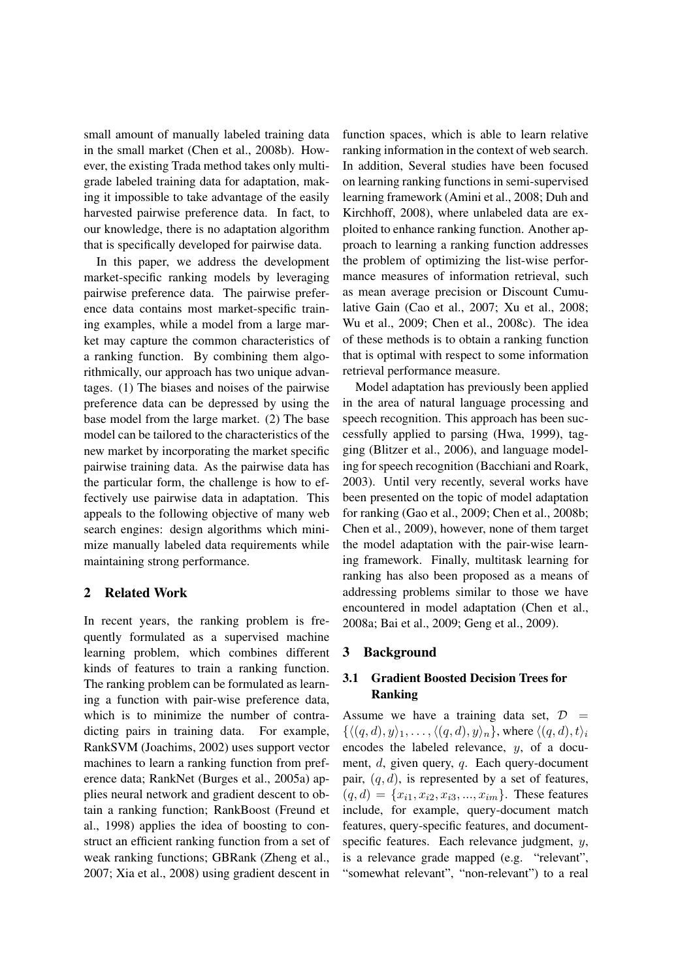small amount of manually labeled training data in the small market (Chen et al., 2008b). However, the existing Trada method takes only multigrade labeled training data for adaptation, making it impossible to take advantage of the easily harvested pairwise preference data. In fact, to our knowledge, there is no adaptation algorithm that is specifically developed for pairwise data.

In this paper, we address the development market-specific ranking models by leveraging pairwise preference data. The pairwise preference data contains most market-specific training examples, while a model from a large market may capture the common characteristics of a ranking function. By combining them algorithmically, our approach has two unique advantages. (1) The biases and noises of the pairwise preference data can be depressed by using the base model from the large market. (2) The base model can be tailored to the characteristics of the new market by incorporating the market specific pairwise training data. As the pairwise data has the particular form, the challenge is how to effectively use pairwise data in adaptation. This appeals to the following objective of many web search engines: design algorithms which minimize manually labeled data requirements while maintaining strong performance.

### 2 Related Work

In recent years, the ranking problem is frequently formulated as a supervised machine learning problem, which combines different kinds of features to train a ranking function. The ranking problem can be formulated as learning a function with pair-wise preference data, which is to minimize the number of contradicting pairs in training data. For example, RankSVM (Joachims, 2002) uses support vector machines to learn a ranking function from preference data; RankNet (Burges et al., 2005a) applies neural network and gradient descent to obtain a ranking function; RankBoost (Freund et al., 1998) applies the idea of boosting to construct an efficient ranking function from a set of weak ranking functions; GBRank (Zheng et al., 2007; Xia et al., 2008) using gradient descent in function spaces, which is able to learn relative ranking information in the context of web search. In addition, Several studies have been focused on learning ranking functions in semi-supervised learning framework (Amini et al., 2008; Duh and Kirchhoff, 2008), where unlabeled data are exploited to enhance ranking function. Another approach to learning a ranking function addresses the problem of optimizing the list-wise performance measures of information retrieval, such as mean average precision or Discount Cumulative Gain (Cao et al., 2007; Xu et al., 2008; Wu et al., 2009; Chen et al., 2008c). The idea of these methods is to obtain a ranking function that is optimal with respect to some information retrieval performance measure.

Model adaptation has previously been applied in the area of natural language processing and speech recognition. This approach has been successfully applied to parsing (Hwa, 1999), tagging (Blitzer et al., 2006), and language modeling for speech recognition (Bacchiani and Roark, 2003). Until very recently, several works have been presented on the topic of model adaptation for ranking (Gao et al., 2009; Chen et al., 2008b; Chen et al., 2009), however, none of them target the model adaptation with the pair-wise learning framework. Finally, multitask learning for ranking has also been proposed as a means of addressing problems similar to those we have encountered in model adaptation (Chen et al., 2008a; Bai et al., 2009; Geng et al., 2009).

### 3 Background

## 3.1 Gradient Boosted Decision Trees for Ranking

Assume we have a training data set,  $\mathcal{D}$  =  $\{\langle (q, d), y \rangle_1, \ldots, \langle (q, d), y \rangle_n\}$ , where  $\langle (q, d), t \rangle_i$ encodes the labeled relevance, y, of a document, d, given query, q. Each query-document pair,  $(q, d)$ , is represented by a set of features,  $(q, d) = \{x_{i1}, x_{i2}, x_{i3}, ..., x_{im}\}.$  These features include, for example, query-document match features, query-specific features, and documentspecific features. Each relevance judgment, y, is a relevance grade mapped (e.g. "relevant", "somewhat relevant", "non-relevant") to a real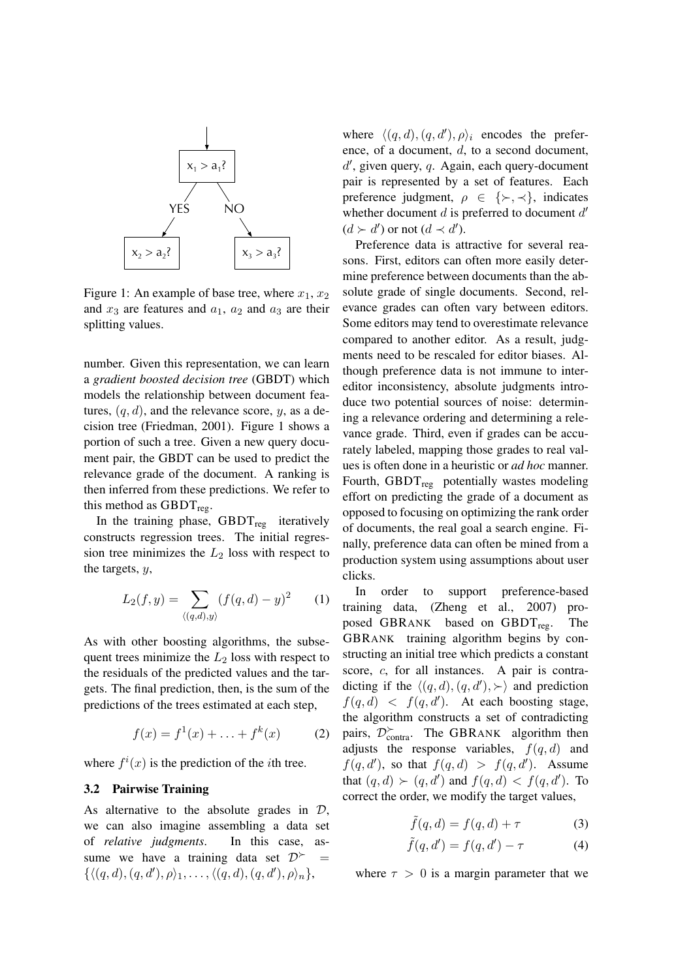

Figure 1: An example of base tree, where  $x_1, x_2$ and  $x_3$  are features and  $a_1$ ,  $a_2$  and  $a_3$  are their splitting values.

number. Given this representation, we can learn a *gradient boosted decision tree* (GBDT) which models the relationship between document features,  $(q, d)$ , and the relevance score, y, as a decision tree (Friedman, 2001). Figure 1 shows a portion of such a tree. Given a new query document pair, the GBDT can be used to predict the relevance grade of the document. A ranking is then inferred from these predictions. We refer to this method as  $GBDT_{reg}$ .

In the training phase,  $GBDT_{reg}$  iteratively constructs regression trees. The initial regression tree minimizes the  $L_2$  loss with respect to the targets, y,

$$
L_2(f, y) = \sum_{\langle (q,d), y \rangle} (f(q, d) - y)^2 \qquad (1)
$$

As with other boosting algorithms, the subsequent trees minimize the  $L_2$  loss with respect to the residuals of the predicted values and the targets. The final prediction, then, is the sum of the predictions of the trees estimated at each step,

$$
f(x) = f^{1}(x) + \ldots + f^{k}(x) \tag{2}
$$

where  $f^{i}(x)$  is the prediction of the *i*th tree.

#### 3.2 Pairwise Training

As alternative to the absolute grades in  $\mathcal{D}$ , we can also imagine assembling a data set of *relative judgments*. In this case, assume we have a training data set  $\mathcal{D}^{\succ}$  =  $\{\langle (q, d), (q, d'), \rho \rangle_1, \ldots, \langle (q, d), (q, d'), \rho \rangle_n\},\$ 

where  $\langle (q, d), (q, d'), \rho \rangle_i$  encodes the preference, of a document, d, to a second document,  $d'$ , given query,  $q$ . Again, each query-document pair is represented by a set of features. Each preference judgment,  $\rho \in \{\succ, \prec\}$ , indicates whether document  $d$  is preferred to document  $d'$  $(d \succ d')$  or not  $(d \prec d')$ .

Preference data is attractive for several reasons. First, editors can often more easily determine preference between documents than the absolute grade of single documents. Second, relevance grades can often vary between editors. Some editors may tend to overestimate relevance compared to another editor. As a result, judgments need to be rescaled for editor biases. Although preference data is not immune to intereditor inconsistency, absolute judgments introduce two potential sources of noise: determining a relevance ordering and determining a relevance grade. Third, even if grades can be accurately labeled, mapping those grades to real values is often done in a heuristic or *ad hoc* manner. Fourth,  $GBDT_{reg}$  potentially wastes modeling effort on predicting the grade of a document as opposed to focusing on optimizing the rank order of documents, the real goal a search engine. Finally, preference data can often be mined from a production system using assumptions about user clicks.

In order to support preference-based training data, (Zheng et al., 2007) proposed GBRANK based on GBDT<sub>reg</sub>. The GBRANK training algorithm begins by constructing an initial tree which predicts a constant score, c, for all instances. A pair is contradicting if the  $\langle (q, d), (q, d'), \rangle$  and prediction  $f(q, d)$  <  $f(q, d')$ . At each boosting stage, the algorithm constructs a set of contradicting pairs,  $\mathcal{D}_{\text{contra}}^{\succ}$ . The GBRANK algorithm then adjusts the response variables,  $f(q, d)$  and  $f(q, d')$ , so that  $f(q, d) > f(q, d')$ . Assume that  $(q, d) \succ (q, d')$  and  $f(q, d) < f(q, d')$ . To correct the order, we modify the target values,

$$
\tilde{f}(q,d) = f(q,d) + \tau \tag{3}
$$

$$
\tilde{f}(q, d') = f(q, d') - \tau \tag{4}
$$

where  $\tau > 0$  is a margin parameter that we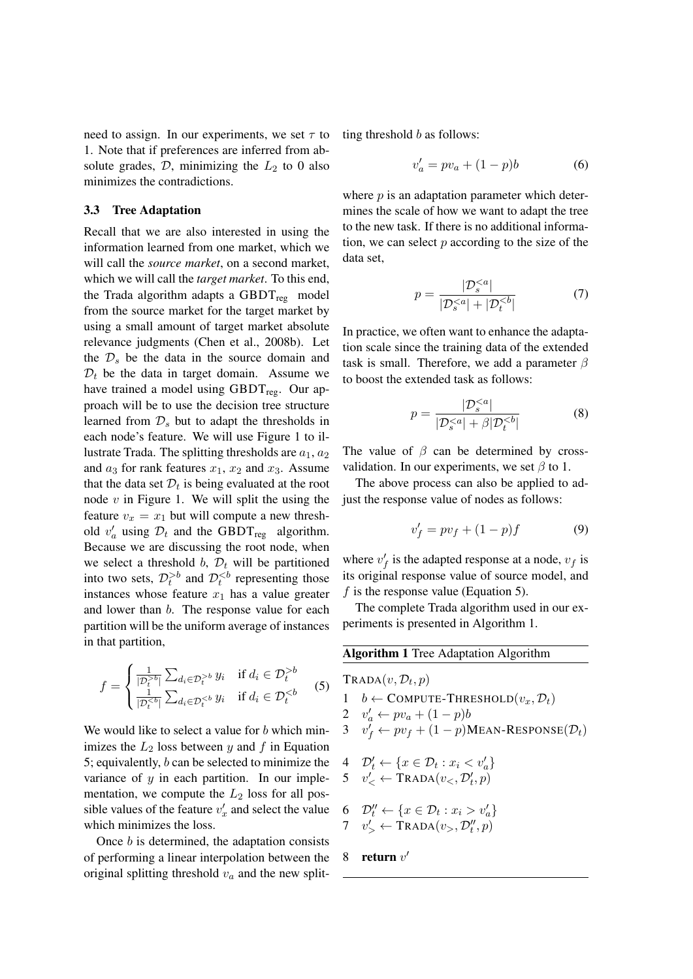need to assign. In our experiments, we set  $\tau$  to 1. Note that if preferences are inferred from absolute grades,  $D$ , minimizing the  $L_2$  to 0 also minimizes the contradictions.

#### 3.3 Tree Adaptation

Recall that we are also interested in using the information learned from one market, which we will call the *source market*, on a second market, which we will call the *target market*. To this end, the Trada algorithm adapts a  $GBDT_{reg}$  model from the source market for the target market by using a small amount of target market absolute relevance judgments (Chen et al., 2008b). Let the  $\mathcal{D}_s$  be the data in the source domain and  $\mathcal{D}_t$  be the data in target domain. Assume we have trained a model using GBDT<sub>reg</sub>. Our approach will be to use the decision tree structure learned from  $\mathcal{D}_s$  but to adapt the thresholds in each node's feature. We will use Figure 1 to illustrate Trada. The splitting thresholds are  $a_1, a_2$ and  $a_3$  for rank features  $x_1$ ,  $x_2$  and  $x_3$ . Assume that the data set  $\mathcal{D}_t$  is being evaluated at the root node  $v$  in Figure 1. We will split the using the feature  $v_x = x_1$  but will compute a new threshold  $v'_a$  using  $\mathcal{D}_t$  and the GBDT<sub>reg</sub> algorithm. Because we are discussing the root node, when we select a threshold b,  $\mathcal{D}_t$  will be partitioned into two sets,  $\mathcal{D}_t^{>b}$  and  $\mathcal{D}_t^{ representing those$ instances whose feature  $x_1$  has a value greater and lower than b. The response value for each partition will be the uniform average of instances in that partition,

$$
f = \begin{cases} \frac{1}{|\mathcal{D}_t^{>b}|} \sum_{d_i \in \mathcal{D}_t^{>b}} y_i & \text{if } d_i \in \mathcal{D}_t^{>b} \\ \frac{1}{|\mathcal{D}_t^{ (5)
$$

We would like to select a value for  $b$  which minimizes the  $L_2$  loss between y and f in Equation 5; equivalently, b can be selected to minimize the variance of  $y$  in each partition. In our implementation, we compute the  $L_2$  loss for all possible values of the feature  $v'_x$  and select the value which minimizes the loss.

Once b is determined, the adaptation consists of performing a linear interpolation between the original splitting threshold  $v_a$  and the new splitting threshold  $b$  as follows:

$$
v_a' = pv_a + (1 - p)b \tag{6}
$$

where  $p$  is an adaptation parameter which determines the scale of how we want to adapt the tree to the new task. If there is no additional information, we can select  $p$  according to the size of the data set,

$$
p = \frac{|D_s^{
$$

In practice, we often want to enhance the adaptation scale since the training data of the extended task is small. Therefore, we add a parameter  $\beta$ to boost the extended task as follows:

$$
p = \frac{|\mathcal{D}_s^{
$$

The value of  $\beta$  can be determined by crossvalidation. In our experiments, we set  $\beta$  to 1.

The above process can also be applied to adjust the response value of nodes as follows:

$$
v_f' = pv_f + (1 - p)f \tag{9}
$$

where  $v'_f$  is the adapted response at a node,  $v_f$  is its original response value of source model, and f is the response value (Equation 5).

The complete Trada algorithm used in our experiments is presented in Algorithm 1.

| <b>Algorithm 1</b> Tree Adaptation Algorithm |                                                                                 |  |  |  |  |  |  |
|----------------------------------------------|---------------------------------------------------------------------------------|--|--|--|--|--|--|
|                                              | $TRADA(v, \mathcal{D}_t, p)$                                                    |  |  |  |  |  |  |
| 1                                            | $b \leftarrow$ COMPUTE-THRESHOLD $(v_x, \mathcal{D}_t)$                         |  |  |  |  |  |  |
|                                              | 2 $v'_a \leftarrow pv_a + (1-p)b$                                               |  |  |  |  |  |  |
|                                              | 3 $v'_f \leftarrow pv_f + (1-p)$ MEAN-RESPONSE $(\mathcal{D}_t)$                |  |  |  |  |  |  |
|                                              | 4 $\mathcal{D}_t' \leftarrow \{x \in \mathcal{D}_t : x_i < v'_a\}$              |  |  |  |  |  |  |
|                                              | 5 $v'_{\leq} \leftarrow \text{TRADA}(v_{\leq}, \mathcal{D}'_t, p)$              |  |  |  |  |  |  |
|                                              | 6 $\mathcal{D}''_t \leftarrow \{x \in \mathcal{D}_t : x_i > v'_a\}$             |  |  |  |  |  |  |
|                                              | 7 $v'_{\leq} \leftarrow \text{TRADA}(v_{>}, \mathcal{D}_{t}^{\prime\prime}, p)$ |  |  |  |  |  |  |
|                                              | 8 return $v'$                                                                   |  |  |  |  |  |  |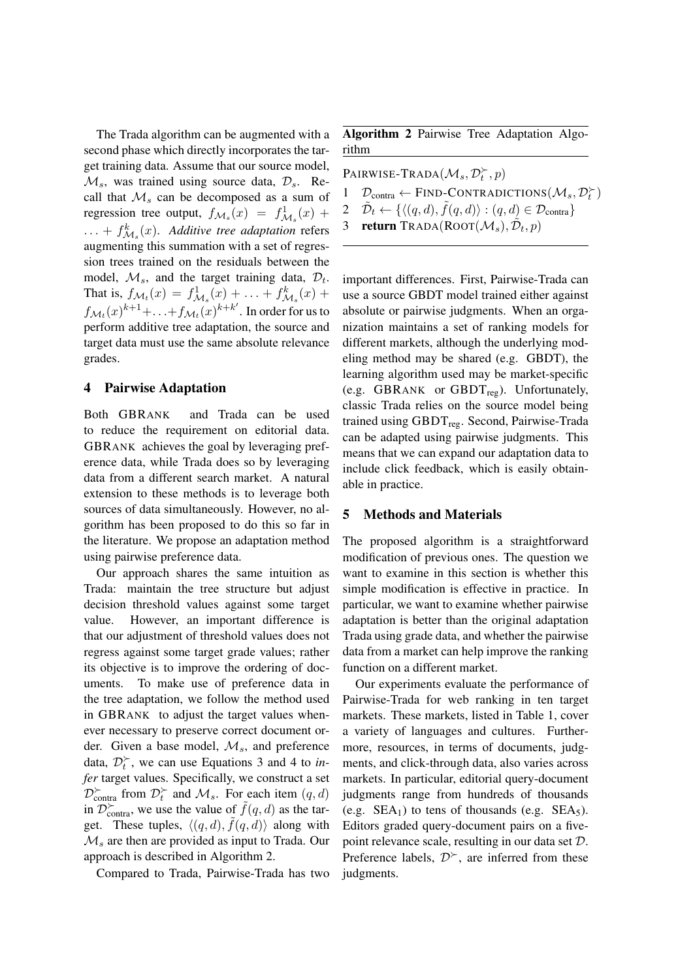The Trada algorithm can be augmented with a second phase which directly incorporates the target training data. Assume that our source model,  $\mathcal{M}_s$ , was trained using source data,  $\mathcal{D}_s$ . Recall that  $\mathcal{M}_s$  can be decomposed as a sum of regression tree output,  $f_{\mathcal{M}_s}(x) = f_{\mathcal{M}_s}^1(x) +$  $\dots + f^k_{\mathcal{M}_s}(x)$ . *Additive tree adaptation* refers augmenting this summation with a set of regression trees trained on the residuals between the model,  $\mathcal{M}_s$ , and the target training data,  $\mathcal{D}_t$ . That is,  $f_{\mathcal{M}_t}(x) = f_{\mathcal{M}_s}^1(x) + \ldots + f_{\mathcal{M}_s}^k(x) +$  $f_{\mathcal{M}_t}(x)^{k+1} + \ldots + f_{\mathcal{M}_t}(x)^{k+k'}$ . In order for us to perform additive tree adaptation, the source and target data must use the same absolute relevance grades.

### 4 Pairwise Adaptation

Both GBRANK and Trada can be used to reduce the requirement on editorial data. GBRANK achieves the goal by leveraging preference data, while Trada does so by leveraging data from a different search market. A natural extension to these methods is to leverage both sources of data simultaneously. However, no algorithm has been proposed to do this so far in the literature. We propose an adaptation method using pairwise preference data.

Our approach shares the same intuition as Trada: maintain the tree structure but adjust decision threshold values against some target value. However, an important difference is that our adjustment of threshold values does not regress against some target grade values; rather its objective is to improve the ordering of documents. To make use of preference data in the tree adaptation, we follow the method used in GBRANK to adjust the target values whenever necessary to preserve correct document order. Given a base model,  $\mathcal{M}_s$ , and preference data,  $\mathcal{D}_t^{\succ}$ , we can use Equations 3 and 4 to *infer* target values. Specifically, we construct a set  $\mathcal{D}_{\text{contra}}^{\succ}$  from  $\mathcal{D}_{t}^{\succ}$  and  $\mathcal{M}_{s}$ . For each item  $(q, d)$ in  $\mathcal{D}_{\text{contra}}^{\succ}$ , we use the value of  $\tilde{f}(q, d)$  as the target. These tuples,  $\langle (q, d), \tilde{f}(q, d) \rangle$  along with  $\mathcal{M}_s$  are then are provided as input to Trada. Our approach is described in Algorithm 2.

Compared to Trada, Pairwise-Trada has two

Algorithm 2 Pairwise Tree Adaptation Algorithm

PAIRWISE-TRADA $(\mathcal{M}_s, \mathcal{D}_t^{\succ}, p)$ 1  $\mathcal{D}_{\text{contra}} \leftarrow \text{FIND-CONTRADICTIONS}(\mathcal{M}_s, \mathcal{D}_t^{\succ})$ 2  $\tilde{\mathcal{D}}_t \leftarrow \{ \langle (q, d), \tilde{f}(q, d) \rangle : (q, d) \in \mathcal{D}_{\text{contra}} \}$ 3 return TRADA(ROOT $(\mathcal{M}_s)$ ,  $\tilde{\mathcal{D}}_t$ ,  $p$ )

important differences. First, Pairwise-Trada can use a source GBDT model trained either against absolute or pairwise judgments. When an organization maintains a set of ranking models for different markets, although the underlying modeling method may be shared (e.g. GBDT), the learning algorithm used may be market-specific (e.g. GBRANK or GBDT<sub>reg</sub>). Unfortunately, classic Trada relies on the source model being trained using GBDT<sub>reg</sub>. Second, Pairwise-Trada can be adapted using pairwise judgments. This means that we can expand our adaptation data to include click feedback, which is easily obtainable in practice.

### 5 Methods and Materials

The proposed algorithm is a straightforward modification of previous ones. The question we want to examine in this section is whether this simple modification is effective in practice. In particular, we want to examine whether pairwise adaptation is better than the original adaptation Trada using grade data, and whether the pairwise data from a market can help improve the ranking function on a different market.

Our experiments evaluate the performance of Pairwise-Trada for web ranking in ten target markets. These markets, listed in Table 1, cover a variety of languages and cultures. Furthermore, resources, in terms of documents, judgments, and click-through data, also varies across markets. In particular, editorial query-document judgments range from hundreds of thousands (e.g.  $SEA_1$ ) to tens of thousands (e.g.  $SEA_5$ ). Editors graded query-document pairs on a fivepoint relevance scale, resulting in our data set D. Preference labels,  $\mathcal{D}^{\succ}$ , are inferred from these judgments.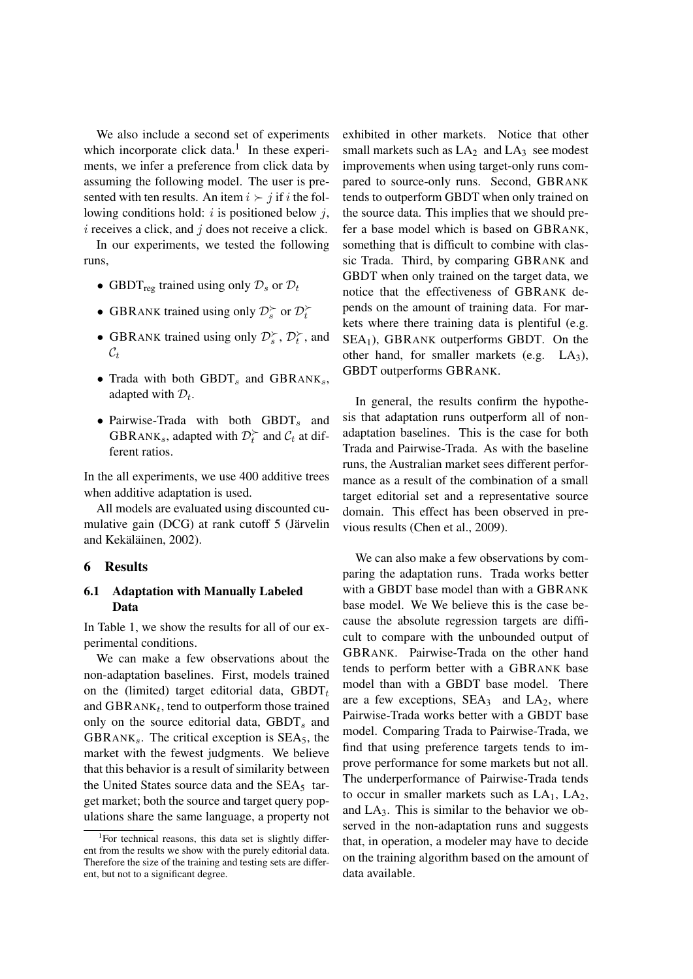We also include a second set of experiments which incorporate click data. $<sup>1</sup>$  In these experi-</sup> ments, we infer a preference from click data by assuming the following model. The user is presented with ten results. An item  $i \succ j$  if i the following conditions hold:  $i$  is positioned below  $j$ ,  $i$  receives a click, and  $j$  does not receive a click.

In our experiments, we tested the following runs,

- GBDT<sub>reg</sub> trained using only  $\mathcal{D}_s$  or  $\mathcal{D}_t$
- GBRANK trained using only  $\mathcal{D}_s^{\succ}$  or  $\mathcal{D}_t^{\succ}$
- GBRANK trained using only  $\mathcal{D}_s^{\succ}$ ,  $\mathcal{D}_t^{\succ}$ , and  $\mathcal{C}_t$
- Trada with both  $GBDT<sub>s</sub>$  and  $GBRANK<sub>s</sub>$ , adapted with  $\mathcal{D}_t$ .
- Pairwise-Trada with both  $GBDT<sub>s</sub>$  and GBRANK<sub>s</sub>, adapted with  $\mathcal{D}_t^{\succ}$  and  $\mathcal{C}_t$  at different ratios.

In the all experiments, we use 400 additive trees when additive adaptation is used.

All models are evaluated using discounted cumulative gain (DCG) at rank cutoff 5 (Järvelin and Kekäläinen, 2002).

#### 6 Results

### 6.1 Adaptation with Manually Labeled Data

In Table 1, we show the results for all of our experimental conditions.

We can make a few observations about the non-adaptation baselines. First, models trained on the (limited) target editorial data,  $GBDT<sub>t</sub>$ and  $GBRANK_t$ , tend to outperform those trained only on the source editorial data,  $GBDT<sub>s</sub>$  and GBRANK<sub>s</sub>. The critical exception is  $SEA<sub>5</sub>$ , the market with the fewest judgments. We believe that this behavior is a result of similarity between the United States source data and the  $SEA<sub>5</sub>$  target market; both the source and target query populations share the same language, a property not exhibited in other markets. Notice that other small markets such as  $LA<sub>2</sub>$  and  $LA<sub>3</sub>$  see modest improvements when using target-only runs compared to source-only runs. Second, GBRANK tends to outperform GBDT when only trained on the source data. This implies that we should prefer a base model which is based on GBRANK, something that is difficult to combine with classic Trada. Third, by comparing GBRANK and GBDT when only trained on the target data, we notice that the effectiveness of GBRANK depends on the amount of training data. For markets where there training data is plentiful (e.g. SEA1), GBRANK outperforms GBDT. On the other hand, for smaller markets (e.g. LA3), GBDT outperforms GBRANK.

In general, the results confirm the hypothesis that adaptation runs outperform all of nonadaptation baselines. This is the case for both Trada and Pairwise-Trada. As with the baseline runs, the Australian market sees different performance as a result of the combination of a small target editorial set and a representative source domain. This effect has been observed in previous results (Chen et al., 2009).

We can also make a few observations by comparing the adaptation runs. Trada works better with a GBDT base model than with a GBRANK base model. We We believe this is the case because the absolute regression targets are difficult to compare with the unbounded output of GBRANK. Pairwise-Trada on the other hand tends to perform better with a GBRANK base model than with a GBDT base model. There are a few exceptions,  $SEA<sub>3</sub>$  and  $LA<sub>2</sub>$ , where Pairwise-Trada works better with a GBDT base model. Comparing Trada to Pairwise-Trada, we find that using preference targets tends to improve performance for some markets but not all. The underperformance of Pairwise-Trada tends to occur in smaller markets such as  $LA<sub>1</sub>$ ,  $LA<sub>2</sub>$ , and  $LA<sub>3</sub>$ . This is similar to the behavior we observed in the non-adaptation runs and suggests that, in operation, a modeler may have to decide on the training algorithm based on the amount of data available.

<sup>&</sup>lt;sup>1</sup>For technical reasons, this data set is slightly different from the results we show with the purely editorial data. Therefore the size of the training and testing sets are different, but not to a significant degree.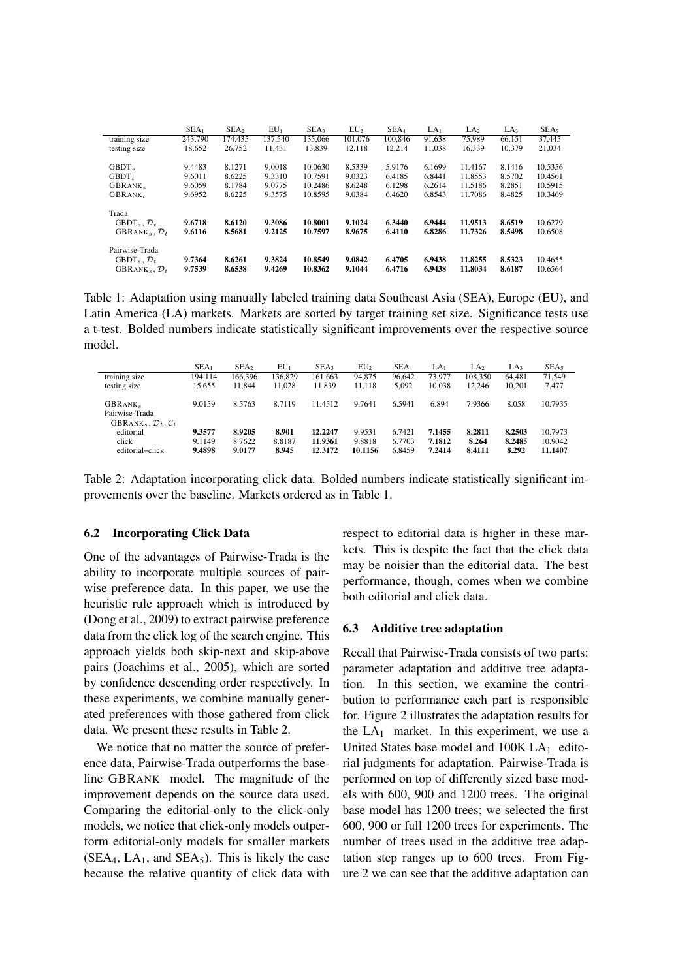|                                                                                           | SEA <sub>1</sub> | SEA <sub>2</sub> | $EU_1$           | SEA <sub>3</sub>   | EU <sub>2</sub>  | SEA <sub>4</sub> | LA <sub>1</sub>  | LA <sub>2</sub>    | LA <sub>3</sub>  | SEA <sub>5</sub>   |
|-------------------------------------------------------------------------------------------|------------------|------------------|------------------|--------------------|------------------|------------------|------------------|--------------------|------------------|--------------------|
| training size                                                                             | 243,790          | 174,435          | 137,540          | 135,066            | 101.076          | 100,846          | 91.638           | 75.989             | 66.151           | 37,445             |
| testing size                                                                              | 18,652           | 26,752           | 11.431           | 13.839             | 12.118           | 12.214           | 11.038           | 16.339             | 10.379           | 21,034             |
|                                                                                           |                  |                  |                  |                    |                  |                  |                  |                    |                  |                    |
| GBDT.                                                                                     | 9.4483           | 8.1271           | 9.0018           | 10.0630            | 8.5339           | 5.9176           | 6.1699           | 11.4167            | 8.1416           | 10.5356            |
| $GBDT_{t}$                                                                                | 9.6011           | 8.6225           | 9.3310           | 10.7591            | 9.0323           | 6.4185           | 6.8441           | 11.8553            | 8.5702           | 10.4561            |
| GBRANK.                                                                                   | 9.6059           | 8.1784           | 9.0775           | 10.2486            | 8.6248           | 6.1298           | 6.2614           | 11.5186            | 8.2851           | 10.5915            |
| $GBRANK_t$                                                                                | 9.6952           | 8.6225           | 9.3575           | 10.8595            | 9.0384           | 6.4620           | 6.8543           | 11.7086            | 8.4825           | 10.3469            |
| Trada<br>$GBDT_{s}$ , $\mathcal{D}_{t}$<br>$GBRANK_{s}, \mathcal{D}_{t}$                  | 9.6718<br>9.6116 | 8.6120<br>8.5681 | 9.3086<br>9.2125 | 10.8001<br>10.7597 | 9.1024<br>8.9675 | 6.3440<br>6.4110 | 6.9444<br>6.8286 | 11.9513<br>11.7326 | 8.6519<br>8.5498 | 10.6279<br>10.6508 |
| Pairwise-Trada<br>$GBDT_{s}$ , $\mathcal{D}_{t}$<br>GBRANK <sub>s</sub> , $\mathcal{D}_t$ | 9.7364<br>9.7539 | 8.6261<br>8.6538 | 9.3824<br>9.4269 | 10.8549<br>10.8362 | 9.0842<br>9.1044 | 6.4705<br>6.4716 | 6.9438<br>6.9438 | 11.8255<br>11.8034 | 8.5323<br>8.6187 | 10.4655<br>10.6564 |

Table 1: Adaptation using manually labeled training data Southeast Asia (SEA), Europe (EU), and Latin America (LA) markets. Markets are sorted by target training set size. Significance tests use a t-test. Bolded numbers indicate statistically significant improvements over the respective source model.

|                                                                                      | SEA <sub>1</sub>           | SEA <sub>2</sub>           | $EU_1$                   | SEA3                          | EU <sub>2</sub>             | SEA <sub>4</sub>           | LA1                        | LA <sub>2</sub>           | LA3                       | SEAs                          |
|--------------------------------------------------------------------------------------|----------------------------|----------------------------|--------------------------|-------------------------------|-----------------------------|----------------------------|----------------------------|---------------------------|---------------------------|-------------------------------|
| $\cdot$ $\cdot$<br>training size                                                     | 194.114                    | 166.396                    | 136.829                  | 161,663                       | 94.875                      | 96.642                     | 73.977                     | 108.350                   | 64.481                    | 71,549                        |
| testing size                                                                         | 15.655                     | 11.844                     | 11.028                   | 11.839                        | 11.118                      | 5.092                      | 10.038                     | 12.246                    | 10.201                    | 7.477                         |
| GBRANK.<br>Pairwise-Trada<br>GBRANK <sub>s</sub> , $\mathcal{D}_t$ , $\mathcal{C}_t$ | 9.0159                     | 8.5763                     | 8.7119                   | 11.4512                       | 9.7641                      | 6.5941                     | 6.894                      | 7.9366                    | 8.058                     | 10.7935                       |
| editorial<br>click<br>editorial+click                                                | 9.3577<br>9.1149<br>9.4898 | 8.9205<br>8.7622<br>9.0177 | 8.901<br>8.8187<br>8.945 | 12.2247<br>11.9361<br>12.3172 | 9.9531<br>9.8818<br>10.1156 | 6.7421<br>6.7703<br>6.8459 | 7.1455<br>7.1812<br>7.2414 | 8.2811<br>8.264<br>8.4111 | 8.2503<br>8.2485<br>8.292 | 10.7973<br>10.9042<br>11.1407 |

Table 2: Adaptation incorporating click data. Bolded numbers indicate statistically significant improvements over the baseline. Markets ordered as in Table 1.

#### 6.2 Incorporating Click Data

One of the advantages of Pairwise-Trada is the ability to incorporate multiple sources of pairwise preference data. In this paper, we use the heuristic rule approach which is introduced by (Dong et al., 2009) to extract pairwise preference data from the click log of the search engine. This approach yields both skip-next and skip-above pairs (Joachims et al., 2005), which are sorted by confidence descending order respectively. In these experiments, we combine manually generated preferences with those gathered from click data. We present these results in Table 2.

We notice that no matter the source of preference data, Pairwise-Trada outperforms the baseline GBRANK model. The magnitude of the improvement depends on the source data used. Comparing the editorial-only to the click-only models, we notice that click-only models outperform editorial-only models for smaller markets  $(SEA<sub>4</sub>, LA<sub>1</sub>, and SEA<sub>5</sub>)$ . This is likely the case because the relative quantity of click data with respect to editorial data is higher in these markets. This is despite the fact that the click data may be noisier than the editorial data. The best performance, though, comes when we combine both editorial and click data.

#### 6.3 Additive tree adaptation

Recall that Pairwise-Trada consists of two parts: parameter adaptation and additive tree adaptation. In this section, we examine the contribution to performance each part is responsible for. Figure 2 illustrates the adaptation results for the  $LA<sub>1</sub>$  market. In this experiment, we use a United States base model and  $100K LA<sub>1</sub>$  editorial judgments for adaptation. Pairwise-Trada is performed on top of differently sized base models with 600, 900 and 1200 trees. The original base model has 1200 trees; we selected the first 600, 900 or full 1200 trees for experiments. The number of trees used in the additive tree adaptation step ranges up to 600 trees. From Figure 2 we can see that the additive adaptation can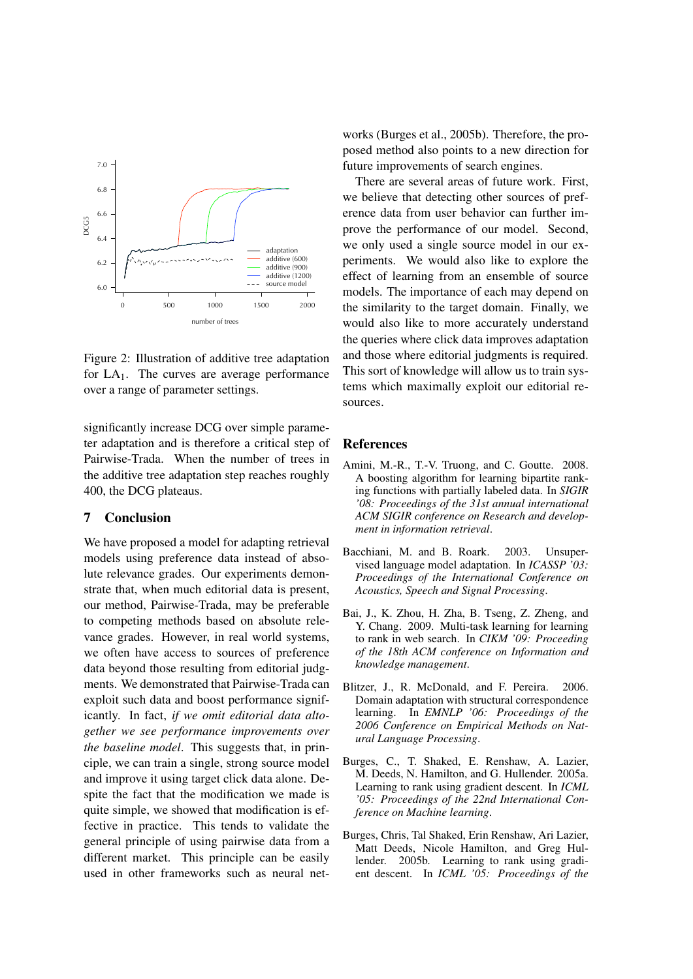

Figure 2: Illustration of additive tree adaptation for  $LA<sub>1</sub>$ . The curves are average performance over a range of parameter settings.

significantly increase DCG over simple parameter adaptation and is therefore a critical step of Pairwise-Trada. When the number of trees in the additive tree adaptation step reaches roughly 400, the DCG plateaus.

# 7 Conclusion

We have proposed a model for adapting retrieval models using preference data instead of absolute relevance grades. Our experiments demonstrate that, when much editorial data is present, our method, Pairwise-Trada, may be preferable to competing methods based on absolute relevance grades. However, in real world systems, we often have access to sources of preference data beyond those resulting from editorial judgments. We demonstrated that Pairwise-Trada can exploit such data and boost performance significantly. In fact, *if we omit editorial data altogether we see performance improvements over the baseline model*. This suggests that, in principle, we can train a single, strong source model and improve it using target click data alone. Despite the fact that the modification we made is quite simple, we showed that modification is effective in practice. This tends to validate the general principle of using pairwise data from a different market. This principle can be easily used in other frameworks such as neural networks (Burges et al., 2005b). Therefore, the proposed method also points to a new direction for future improvements of search engines.

There are several areas of future work. First, we believe that detecting other sources of preference data from user behavior can further improve the performance of our model. Second, we only used a single source model in our experiments. We would also like to explore the effect of learning from an ensemble of source models. The importance of each may depend on the similarity to the target domain. Finally, we would also like to more accurately understand the queries where click data improves adaptation and those where editorial judgments is required. This sort of knowledge will allow us to train systems which maximally exploit our editorial resources.

#### References

- Amini, M.-R., T.-V. Truong, and C. Goutte. 2008. A boosting algorithm for learning bipartite ranking functions with partially labeled data. In *SIGIR '08: Proceedings of the 31st annual international ACM SIGIR conference on Research and development in information retrieval*.
- Bacchiani, M. and B. Roark. 2003. Unsupervised language model adaptation. In *ICASSP '03: Proceedings of the International Conference on Acoustics, Speech and Signal Processing*.
- Bai, J., K. Zhou, H. Zha, B. Tseng, Z. Zheng, and Y. Chang. 2009. Multi-task learning for learning to rank in web search. In *CIKM '09: Proceeding of the 18th ACM conference on Information and knowledge management*.
- Blitzer, J., R. McDonald, and F. Pereira. 2006. Domain adaptation with structural correspondence learning. In *EMNLP '06: Proceedings of the 2006 Conference on Empirical Methods on Natural Language Processing*.
- Burges, C., T. Shaked, E. Renshaw, A. Lazier, M. Deeds, N. Hamilton, and G. Hullender. 2005a. Learning to rank using gradient descent. In *ICML '05: Proceedings of the 22nd International Conference on Machine learning*.
- Burges, Chris, Tal Shaked, Erin Renshaw, Ari Lazier, Matt Deeds, Nicole Hamilton, and Greg Hullender. 2005b. Learning to rank using gradient descent. In *ICML '05: Proceedings of the*